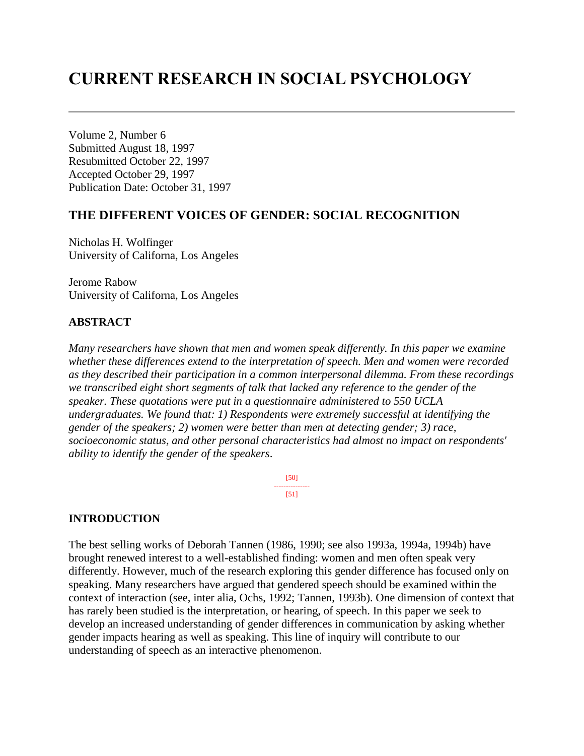# **CURRENT RESEARCH IN SOCIAL PSYCHOLOGY**

Volume 2, Number 6 Submitted August 18, 1997 Resubmitted October 22, 1997 Accepted October 29, 1997 Publication Date: October 31, 1997

### **THE DIFFERENT VOICES OF GENDER: SOCIAL RECOGNITION**

Nicholas H. Wolfinger University of Californa, Los Angeles

Jerome Rabow University of Californa, Los Angeles

### **ABSTRACT**

*Many researchers have shown that men and women speak differently. In this paper we examine whether these differences extend to the interpretation of speech. Men and women were recorded as they described their participation in a common interpersonal dilemma. From these recordings we transcribed eight short segments of talk that lacked any reference to the gender of the speaker. These quotations were put in a questionnaire administered to 550 UCLA undergraduates. We found that: 1) Respondents were extremely successful at identifying the gender of the speakers; 2) women were better than men at detecting gender; 3) race, socioeconomic status, and other personal characteristics had almost no impact on respondents' ability to identify the gender of the speakers*.

> [50] --------------- [51]

### **INTRODUCTION**

The best selling works of Deborah Tannen (1986, 1990; see also 1993a, 1994a, 1994b) have brought renewed interest to a well-established finding: women and men often speak very differently. However, much of the research exploring this gender difference has focused only on speaking. Many researchers have argued that gendered speech should be examined within the context of interaction (see, inter alia, Ochs, 1992; Tannen, 1993b). One dimension of context that has rarely been studied is the interpretation, or hearing, of speech. In this paper we seek to develop an increased understanding of gender differences in communication by asking whether gender impacts hearing as well as speaking. This line of inquiry will contribute to our understanding of speech as an interactive phenomenon.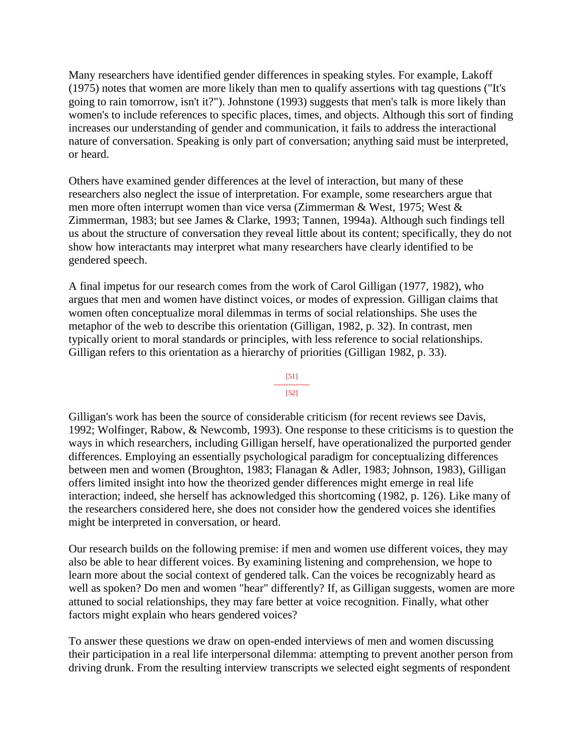Many researchers have identified gender differences in speaking styles. For example, Lakoff (1975) notes that women are more likely than men to qualify assertions with tag questions ("It's going to rain tomorrow, isn't it?"). Johnstone (1993) suggests that men's talk is more likely than women's to include references to specific places, times, and objects. Although this sort of finding increases our understanding of gender and communication, it fails to address the interactional nature of conversation. Speaking is only part of conversation; anything said must be interpreted, or heard.

Others have examined gender differences at the level of interaction, but many of these researchers also neglect the issue of interpretation. For example, some researchers argue that men more often interrupt women than vice versa (Zimmerman & West, 1975; West & Zimmerman, 1983; but see James & Clarke, 1993; Tannen, 1994a). Although such findings tell us about the structure of conversation they reveal little about its content; specifically, they do not show how interactants may interpret what many researchers have clearly identified to be gendered speech.

A final impetus for our research comes from the work of Carol Gilligan (1977, 1982), who argues that men and women have distinct voices, or modes of expression. Gilligan claims that women often conceptualize moral dilemmas in terms of social relationships. She uses the metaphor of the web to describe this orientation (Gilligan, 1982, p. 32). In contrast, men typically orient to moral standards or principles, with less reference to social relationships. Gilligan refers to this orientation as a hierarchy of priorities (Gilligan 1982, p. 33).

#### [51] ---------------

### [52]

Gilligan's work has been the source of considerable criticism (for recent reviews see Davis, 1992; Wolfinger, Rabow, & Newcomb, 1993). One response to these criticisms is to question the ways in which researchers, including Gilligan herself, have operationalized the purported gender differences. Employing an essentially psychological paradigm for conceptualizing differences between men and women (Broughton, 1983; Flanagan & Adler, 1983; Johnson, 1983), Gilligan offers limited insight into how the theorized gender differences might emerge in real life interaction; indeed, she herself has acknowledged this shortcoming (1982, p. 126). Like many of the researchers considered here, she does not consider how the gendered voices she identifies might be interpreted in conversation, or heard.

Our research builds on the following premise: if men and women use different voices, they may also be able to hear different voices. By examining listening and comprehension, we hope to learn more about the social context of gendered talk. Can the voices be recognizably heard as well as spoken? Do men and women "hear" differently? If, as Gilligan suggests, women are more attuned to social relationships, they may fare better at voice recognition. Finally, what other factors might explain who hears gendered voices?

To answer these questions we draw on open-ended interviews of men and women discussing their participation in a real life interpersonal dilemma: attempting to prevent another person from driving drunk. From the resulting interview transcripts we selected eight segments of respondent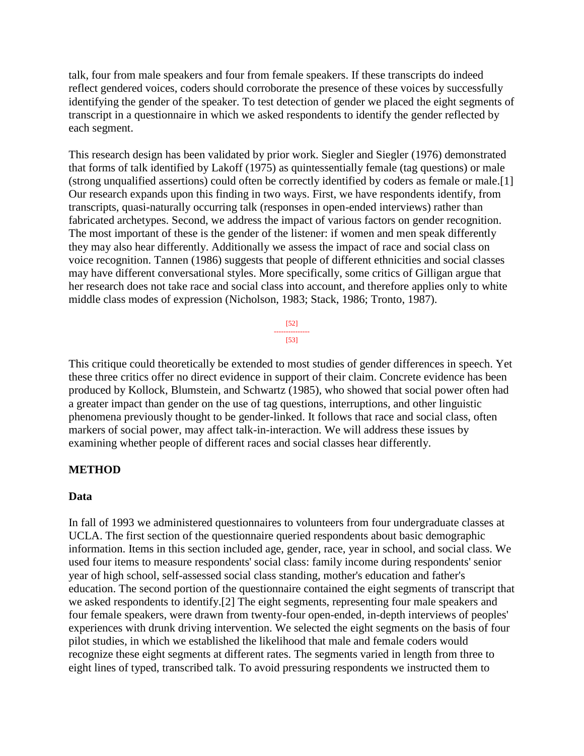talk, four from male speakers and four from female speakers. If these transcripts do indeed reflect gendered voices, coders should corroborate the presence of these voices by successfully identifying the gender of the speaker. To test detection of gender we placed the eight segments of transcript in a questionnaire in which we asked respondents to identify the gender reflected by each segment.

This research design has been validated by prior work. Siegler and Siegler (1976) demonstrated that forms of talk identified by Lakoff (1975) as quintessentially female (tag questions) or male (strong unqualified assertions) could often be correctly identified by coders as female or male.[1] Our research expands upon this finding in two ways. First, we have respondents identify, from transcripts, quasi-naturally occurring talk (responses in open-ended interviews) rather than fabricated archetypes. Second, we address the impact of various factors on gender recognition. The most important of these is the gender of the listener: if women and men speak differently they may also hear differently. Additionally we assess the impact of race and social class on voice recognition. Tannen (1986) suggests that people of different ethnicities and social classes may have different conversational styles. More specifically, some critics of Gilligan argue that her research does not take race and social class into account, and therefore applies only to white middle class modes of expression (Nicholson, 1983; Stack, 1986; Tronto, 1987).



This critique could theoretically be extended to most studies of gender differences in speech. Yet these three critics offer no direct evidence in support of their claim. Concrete evidence has been produced by Kollock, Blumstein, and Schwartz (1985), who showed that social power often had a greater impact than gender on the use of tag questions, interruptions, and other linguistic phenomena previously thought to be gender-linked. It follows that race and social class, often markers of social power, may affect talk-in-interaction. We will address these issues by examining whether people of different races and social classes hear differently.

### **METHOD**

### **Data**

In fall of 1993 we administered questionnaires to volunteers from four undergraduate classes at UCLA. The first section of the questionnaire queried respondents about basic demographic information. Items in this section included age, gender, race, year in school, and social class. We used four items to measure respondents' social class: family income during respondents' senior year of high school, self-assessed social class standing, mother's education and father's education. The second portion of the questionnaire contained the eight segments of transcript that we asked respondents to identify.[2] The eight segments, representing four male speakers and four female speakers, were drawn from twenty-four open-ended, in-depth interviews of peoples' experiences with drunk driving intervention. We selected the eight segments on the basis of four pilot studies, in which we established the likelihood that male and female coders would recognize these eight segments at different rates. The segments varied in length from three to eight lines of typed, transcribed talk. To avoid pressuring respondents we instructed them to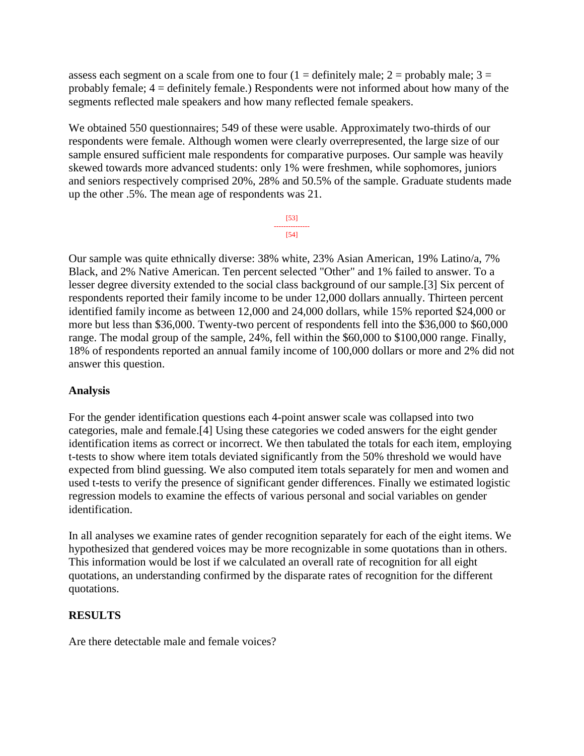assess each segment on a scale from one to four  $(1 =$  definitely male;  $2 =$  probably male;  $3 =$ probably female; 4 = definitely female.) Respondents were not informed about how many of the segments reflected male speakers and how many reflected female speakers.

We obtained 550 questionnaires; 549 of these were usable. Approximately two-thirds of our respondents were female. Although women were clearly overrepresented, the large size of our sample ensured sufficient male respondents for comparative purposes. Our sample was heavily skewed towards more advanced students: only 1% were freshmen, while sophomores, juniors and seniors respectively comprised 20%, 28% and 50.5% of the sample. Graduate students made up the other .5%. The mean age of respondents was 21.

> [53] --------------- [54]

Our sample was quite ethnically diverse: 38% white, 23% Asian American, 19% Latino/a, 7% Black, and 2% Native American. Ten percent selected "Other" and 1% failed to answer. To a lesser degree diversity extended to the social class background of our sample.[3] Six percent of respondents reported their family income to be under 12,000 dollars annually. Thirteen percent identified family income as between 12,000 and 24,000 dollars, while 15% reported \$24,000 or more but less than \$36,000. Twenty-two percent of respondents fell into the \$36,000 to \$60,000 range. The modal group of the sample, 24%, fell within the \$60,000 to \$100,000 range. Finally, 18% of respondents reported an annual family income of 100,000 dollars or more and 2% did not answer this question.

# **Analysis**

For the gender identification questions each 4-point answer scale was collapsed into two categories, male and female.[4] Using these categories we coded answers for the eight gender identification items as correct or incorrect. We then tabulated the totals for each item, employing t-tests to show where item totals deviated significantly from the 50% threshold we would have expected from blind guessing. We also computed item totals separately for men and women and used t-tests to verify the presence of significant gender differences. Finally we estimated logistic regression models to examine the effects of various personal and social variables on gender identification.

In all analyses we examine rates of gender recognition separately for each of the eight items. We hypothesized that gendered voices may be more recognizable in some quotations than in others. This information would be lost if we calculated an overall rate of recognition for all eight quotations, an understanding confirmed by the disparate rates of recognition for the different quotations.

# **RESULTS**

Are there detectable male and female voices?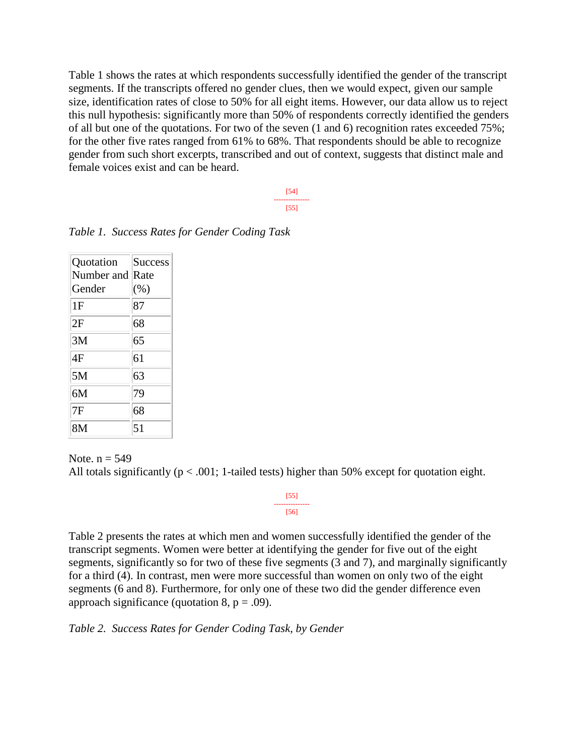Table 1 shows the rates at which respondents successfully identified the gender of the transcript segments. If the transcripts offered no gender clues, then we would expect, given our sample size, identification rates of close to 50% for all eight items. However, our data allow us to reject this null hypothesis: significantly more than 50% of respondents correctly identified the genders of all but one of the quotations. For two of the seven (1 and 6) recognition rates exceeded 75%; for the other five rates ranged from 61% to 68%. That respondents should be able to recognize gender from such short excerpts, transcribed and out of context, suggests that distinct male and female voices exist and can be heard.

> [54] --------------- [55]

| Quotation  | <b>Success</b> |
|------------|----------------|
| Number and | Rate           |
| Gender     | (%)            |
| 1F         | 87             |
| 2F         | 68             |
| 3M         | 65             |
| 4F         | 61             |
| 5M         | 63             |
| 6M         | 79             |
| 7F         | 68             |
| 8M         | 51             |

*Table 1. Success Rates for Gender Coding Task*

Note.  $n = 549$ All totals significantly ( $p < .001$ ; 1-tailed tests) higher than 50% except for quotation eight.

> [55] --------------- [56]

Table 2 presents the rates at which men and women successfully identified the gender of the transcript segments. Women were better at identifying the gender for five out of the eight segments, significantly so for two of these five segments (3 and 7), and marginally significantly for a third (4). In contrast, men were more successful than women on only two of the eight segments (6 and 8). Furthermore, for only one of these two did the gender difference even approach significance (quotation 8,  $p = .09$ ).

*Table 2. Success Rates for Gender Coding Task, by Gender*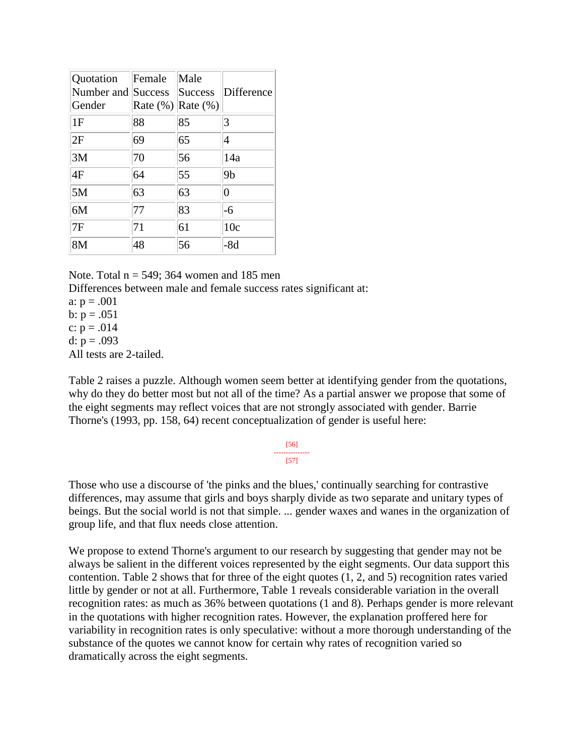| Quotation<br>Number and<br>Gender | Female<br>Success<br>Rate $(\%)$ Rate $(\%)$ | Male<br><b>Success</b> | Difference     |
|-----------------------------------|----------------------------------------------|------------------------|----------------|
| 1F                                | 88                                           | 85                     | 3              |
| 2F                                | 69                                           | 65                     | 4              |
| 3M                                | 70                                           | 56                     | 14a            |
| 4F                                | 64                                           | 55                     | 9 <sub>b</sub> |
| 5M                                | 63                                           | 63                     | $\overline{0}$ |
| 6M                                | 77                                           | 83                     | $-6$           |
| 7F                                | 71                                           | 61                     | 10c            |
| 8M                                | 48                                           | 56                     | $-8d$          |

Note. Total  $n = 549$ ; 364 women and 185 men

Differences between male and female success rates significant at:

a:  $p = .001$ b:  $p = .051$ c:  $p = .014$ 

d:  $p = .093$ 

All tests are 2-tailed.

Table 2 raises a puzzle. Although women seem better at identifying gender from the quotations, why do they do better most but not all of the time? As a partial answer we propose that some of the eight segments may reflect voices that are not strongly associated with gender. Barrie Thorne's (1993, pp. 158, 64) recent conceptualization of gender is useful here:

#### [56] --------------- [57]

Those who use a discourse of 'the pinks and the blues,' continually searching for contrastive differences, may assume that girls and boys sharply divide as two separate and unitary types of beings. But the social world is not that simple. ... gender waxes and wanes in the organization of group life, and that flux needs close attention.

We propose to extend Thorne's argument to our research by suggesting that gender may not be always be salient in the different voices represented by the eight segments. Our data support this contention. Table 2 shows that for three of the eight quotes (1, 2, and 5) recognition rates varied little by gender or not at all. Furthermore, Table 1 reveals considerable variation in the overall recognition rates: as much as 36% between quotations (1 and 8). Perhaps gender is more relevant in the quotations with higher recognition rates. However, the explanation proffered here for variability in recognition rates is only speculative: without a more thorough understanding of the substance of the quotes we cannot know for certain why rates of recognition varied so dramatically across the eight segments.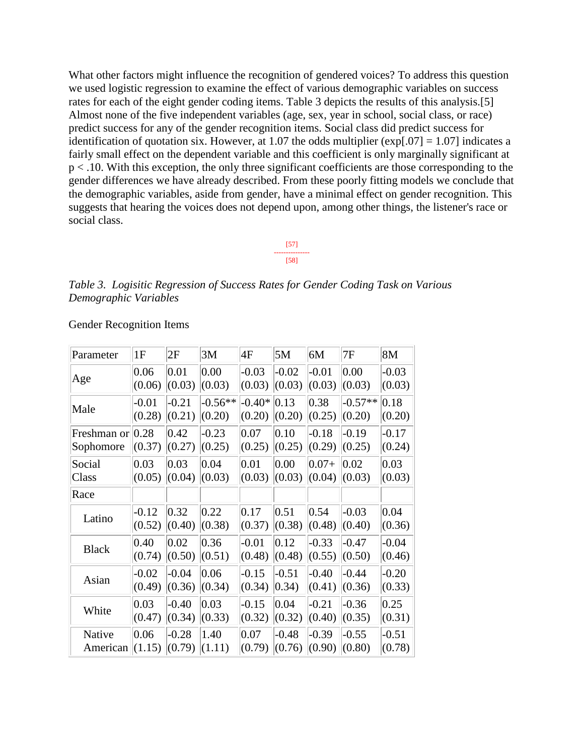What other factors might influence the recognition of gendered voices? To address this question we used logistic regression to examine the effect of various demographic variables on success rates for each of the eight gender coding items. Table 3 depicts the results of this analysis.[5] Almost none of the five independent variables (age, sex, year in school, social class, or race) predict success for any of the gender recognition items. Social class did predict success for identification of quotation six. However, at 1.07 the odds multiplier ( $\exp[.07] = 1.07$ ) indicates a fairly small effect on the dependent variable and this coefficient is only marginally significant at p < .10. With this exception, the only three significant coefficients are those corresponding to the gender differences we have already described. From these poorly fitting models we conclude that the demographic variables, aside from gender, have a minimal effect on gender recognition. This suggests that hearing the voices does not depend upon, among other things, the listener's race or social class.



*Table 3. Logisitic Regression of Success Rates for Gender Coding Task on Various Demographic Variables*

| Parameter            | 1F      | 2F      | 3M        | 4F       | 5M             | 6M       | 7F        | 8M      |
|----------------------|---------|---------|-----------|----------|----------------|----------|-----------|---------|
| Age                  | 0.06    | 0.01    | 0.00      | $-0.03$  | $-0.02$        | $-0.01$  | 0.00      | $-0.03$ |
|                      | (0.06)  | (0.03)  | (0.03)    | (0.03)   | (0.03)         | (0.03)   | (0.03)    | (0.03)  |
| Male                 | $-0.01$ | $-0.21$ | $-0.56**$ | $-0.40*$ | 0.13           | 0.38     | $-0.57**$ | 0.18    |
|                      | (0.28)  | (0.21)  | (0.20)    | (0.20)   | (0.20)         | (0.25)   | (0.20)    | (0.20)  |
| Freshman or $ 0.28 $ | (0.37)  | 0.42    | $-0.23$   | 0.07     | 0.10           | $-0.18$  | $-0.19$   | $-0.17$ |
| Sophomore            |         | (0.27)  | (0.25)    | (0.25)   | (0.25)         | (0.29)   | (0.25)    | (0.24)  |
| Social               | 0.03    | 0.03    | 0.04      | 0.01     | 0.00           | $ 0.07+$ | 0.02      | 0.03    |
| Class                | (0.05)  | (0.04)  | (0.03)    | (0.03)   | (0.03)         | (0.04)   | (0.03)    | (0.03)  |
| Race                 |         |         |           |          |                |          |           |         |
| Latino               | $-0.12$ | 0.32    | 0.22      | 0.17     | 0.51           | 0.54     | $-0.03$   | 0.04    |
|                      | (0.52)  | (0.40)  | (0.38)    | (0.37)   | (0.38)         | (0.48)   | (0.40)    | (0.36)  |
| <b>Black</b>         | 0.40    | 0.02    | 0.36      | $-0.01$  | $ 0.12\rangle$ | $-0.33$  | $-0.47$   | $-0.04$ |
|                      | (0.74)  | (0.50)  | (0.51)    | (0.48)   | (0.48)         | (0.55)   | (0.50)    | (0.46)  |
| Asian                | $-0.02$ | $-0.04$ | 0.06      | $-0.15$  | $-0.51$        | $-0.40$  | $-0.44$   | $-0.20$ |
|                      | (0.49)  | (0.36)  | (0.34)    | (0.34)   | $ 0.34\rangle$ | (0.41)   | (0.36)    | (0.33)  |
| White                | 0.03    | $-0.40$ | 0.03      | $-0.15$  | 0.04           | $-0.21$  | $-0.36$   | 0.25    |
|                      | (0.47)  | (0.34)  | (0.33)    | (0.32)   | (0.32)         | (0.40)   | (0.35)    | (0.31)  |
| Native               | 0.06    | $-0.28$ | 1.40      | 0.07     | $-0.48$        | $-0.39$  | $-0.55$   | $-0.51$ |
| American             | (1.15)  | (0.79)  | (1.11)    | (0.79)   | (0.76)         | (0.90)   | (0.80)    | (0.78)  |

Gender Recognition Items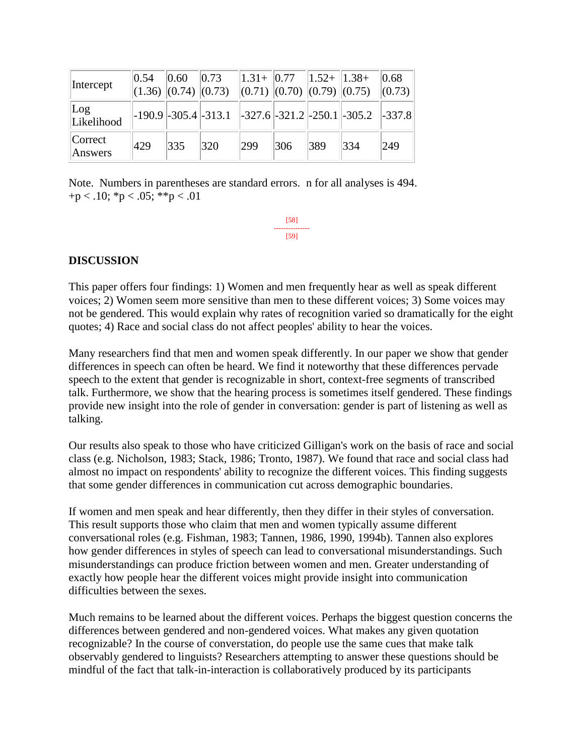| Intercept            | $ 0.54 $ $ 0.60 $ |     | $\vert 0.73 \vert$ |     |     |     | $\parallel$ 1.31+ $\parallel$ 0.77 $\parallel$ 1.52+ $\parallel$ 1.38+ $\parallel$ 0.68 $\parallel$<br>$\ (1.36)\ (0.74)\ (0.73)\  (0.71)\ (0.70)\ (0.79)\ (0.75)\  (0.73)\ $ |     |
|----------------------|-------------------|-----|--------------------|-----|-----|-----|-------------------------------------------------------------------------------------------------------------------------------------------------------------------------------|-----|
| $\log$<br>Likelihood |                   |     |                    |     |     |     | $\vert$ -190.9 $\vert$ -305.4 $\vert$ -313.1 $\vert$ -327.6 $\vert$ -321.2 $\vert$ -250.1 $\vert$ -305.2 $\vert$ -337.8 $\vert$                                               |     |
| Correct<br>Answers   | 429               | 335 | 320                | 299 | 306 | 389 | 334                                                                                                                                                                           | 249 |

Note. Numbers in parentheses are standard errors. n for all analyses is 494.  $+p < .10$ ; \*p  $< .05$ ; \*\*p  $< .01$ 

> [58] --------------- [59]

### **DISCUSSION**

This paper offers four findings: 1) Women and men frequently hear as well as speak different voices; 2) Women seem more sensitive than men to these different voices; 3) Some voices may not be gendered. This would explain why rates of recognition varied so dramatically for the eight quotes; 4) Race and social class do not affect peoples' ability to hear the voices.

Many researchers find that men and women speak differently. In our paper we show that gender differences in speech can often be heard. We find it noteworthy that these differences pervade speech to the extent that gender is recognizable in short, context-free segments of transcribed talk. Furthermore, we show that the hearing process is sometimes itself gendered. These findings provide new insight into the role of gender in conversation: gender is part of listening as well as talking.

Our results also speak to those who have criticized Gilligan's work on the basis of race and social class (e.g. Nicholson, 1983; Stack, 1986; Tronto, 1987). We found that race and social class had almost no impact on respondents' ability to recognize the different voices. This finding suggests that some gender differences in communication cut across demographic boundaries.

If women and men speak and hear differently, then they differ in their styles of conversation. This result supports those who claim that men and women typically assume different conversational roles (e.g. Fishman, 1983; Tannen, 1986, 1990, 1994b). Tannen also explores how gender differences in styles of speech can lead to conversational misunderstandings. Such misunderstandings can produce friction between women and men. Greater understanding of exactly how people hear the different voices might provide insight into communication difficulties between the sexes.

Much remains to be learned about the different voices. Perhaps the biggest question concerns the differences between gendered and non-gendered voices. What makes any given quotation recognizable? In the course of converstation, do people use the same cues that make talk observably gendered to linguists? Researchers attempting to answer these questions should be mindful of the fact that talk-in-interaction is collaboratively produced by its participants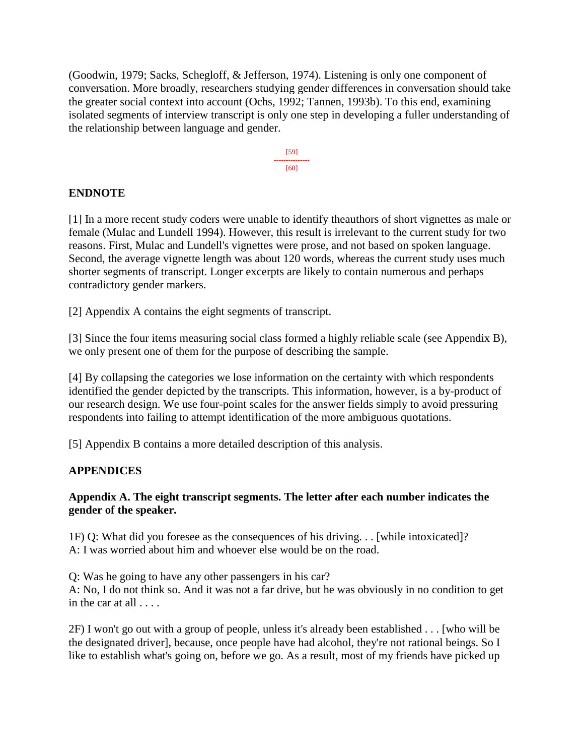(Goodwin, 1979; Sacks, Schegloff, & Jefferson, 1974). Listening is only one component of conversation. More broadly, researchers studying gender differences in conversation should take the greater social context into account (Ochs, 1992; Tannen, 1993b). To this end, examining isolated segments of interview transcript is only one step in developing a fuller understanding of the relationship between language and gender.



# **ENDNOTE**

[1] In a more recent study coders were unable to identify theauthors of short vignettes as male or female (Mulac and Lundell 1994). However, this result is irrelevant to the current study for two reasons. First, Mulac and Lundell's vignettes were prose, and not based on spoken language. Second, the average vignette length was about 120 words, whereas the current study uses much shorter segments of transcript. Longer excerpts are likely to contain numerous and perhaps contradictory gender markers.

[2] Appendix A contains the eight segments of transcript.

[3] Since the four items measuring social class formed a highly reliable scale (see Appendix B), we only present one of them for the purpose of describing the sample.

[4] By collapsing the categories we lose information on the certainty with which respondents identified the gender depicted by the transcripts. This information, however, is a by-product of our research design. We use four-point scales for the answer fields simply to avoid pressuring respondents into failing to attempt identification of the more ambiguous quotations.

[5] Appendix B contains a more detailed description of this analysis.

# **APPENDICES**

### **Appendix A. The eight transcript segments. The letter after each number indicates the gender of the speaker.**

1F) Q: What did you foresee as the consequences of his driving. . . [while intoxicated]? A: I was worried about him and whoever else would be on the road.

Q: Was he going to have any other passengers in his car? A: No, I do not think so. And it was not a far drive, but he was obviously in no condition to get in the car at all  $\ldots$ 

2F) I won't go out with a group of people, unless it's already been established . . . [who will be the designated driver], because, once people have had alcohol, they're not rational beings. So I like to establish what's going on, before we go. As a result, most of my friends have picked up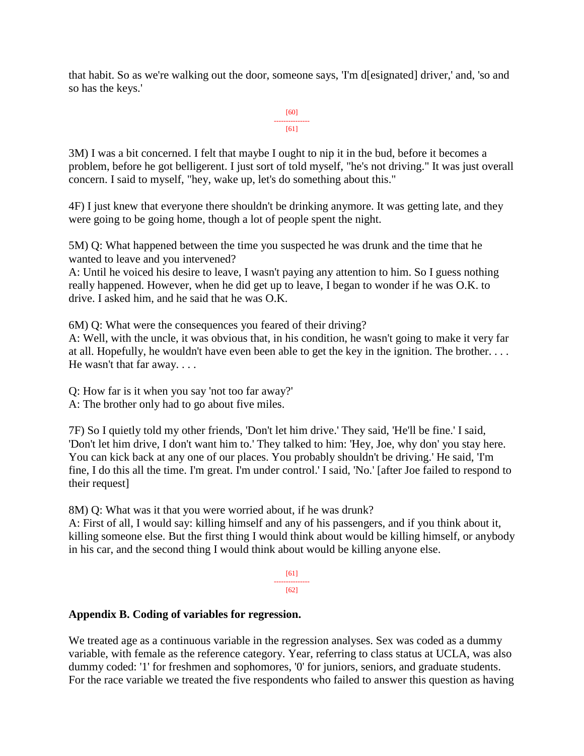that habit. So as we're walking out the door, someone says, 'I'm d[esignated] driver,' and, 'so and so has the keys.'

```
[60]
---------------
     [61]
```
3M) I was a bit concerned. I felt that maybe I ought to nip it in the bud, before it becomes a problem, before he got belligerent. I just sort of told myself, "he's not driving." It was just overall concern. I said to myself, "hey, wake up, let's do something about this."

4F) I just knew that everyone there shouldn't be drinking anymore. It was getting late, and they were going to be going home, though a lot of people spent the night.

5M) Q: What happened between the time you suspected he was drunk and the time that he wanted to leave and you intervened?

A: Until he voiced his desire to leave, I wasn't paying any attention to him. So I guess nothing really happened. However, when he did get up to leave, I began to wonder if he was O.K. to drive. I asked him, and he said that he was O.K.

6M) Q: What were the consequences you feared of their driving?

A: Well, with the uncle, it was obvious that, in his condition, he wasn't going to make it very far at all. Hopefully, he wouldn't have even been able to get the key in the ignition. The brother. . . . He wasn't that far away. . . .

Q: How far is it when you say 'not too far away?'

A: The brother only had to go about five miles.

7F) So I quietly told my other friends, 'Don't let him drive.' They said, 'He'll be fine.' I said, 'Don't let him drive, I don't want him to.' They talked to him: 'Hey, Joe, why don' you stay here. You can kick back at any one of our places. You probably shouldn't be driving.' He said, 'I'm fine, I do this all the time. I'm great. I'm under control.' I said, 'No.' [after Joe failed to respond to their request]

8M) Q: What was it that you were worried about, if he was drunk?

A: First of all, I would say: killing himself and any of his passengers, and if you think about it, killing someone else. But the first thing I would think about would be killing himself, or anybody in his car, and the second thing I would think about would be killing anyone else.

> [61] ---------------  $[62]$

# **Appendix B. Coding of variables for regression.**

We treated age as a continuous variable in the regression analyses. Sex was coded as a dummy variable, with female as the reference category. Year, referring to class status at UCLA, was also dummy coded: '1' for freshmen and sophomores, '0' for juniors, seniors, and graduate students. For the race variable we treated the five respondents who failed to answer this question as having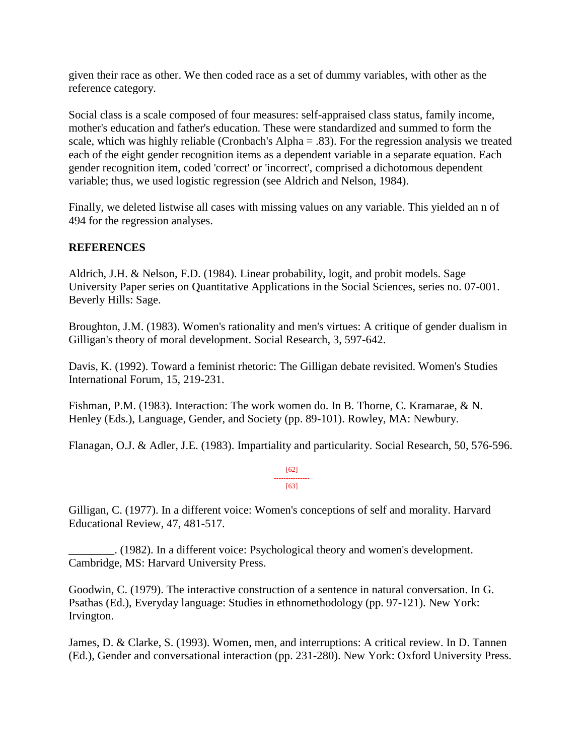given their race as other. We then coded race as a set of dummy variables, with other as the reference category.

Social class is a scale composed of four measures: self-appraised class status, family income, mother's education and father's education. These were standardized and summed to form the scale, which was highly reliable (Cronbach's Alpha = .83). For the regression analysis we treated each of the eight gender recognition items as a dependent variable in a separate equation. Each gender recognition item, coded 'correct' or 'incorrect', comprised a dichotomous dependent variable; thus, we used logistic regression (see Aldrich and Nelson, 1984).

Finally, we deleted listwise all cases with missing values on any variable. This yielded an n of 494 for the regression analyses.

# **REFERENCES**

Aldrich, J.H. & Nelson, F.D. (1984). Linear probability, logit, and probit models. Sage University Paper series on Quantitative Applications in the Social Sciences, series no. 07-001. Beverly Hills: Sage.

Broughton, J.M. (1983). Women's rationality and men's virtues: A critique of gender dualism in Gilligan's theory of moral development. Social Research, 3, 597-642.

Davis, K. (1992). Toward a feminist rhetoric: The Gilligan debate revisited. Women's Studies International Forum, 15, 219-231.

Fishman, P.M. (1983). Interaction: The work women do. In B. Thorne, C. Kramarae, & N. Henley (Eds.), Language, Gender, and Society (pp. 89-101). Rowley, MA: Newbury.

Flanagan, O.J. & Adler, J.E. (1983). Impartiality and particularity. Social Research, 50, 576-596.

[62] --------------- [63]

Gilligan, C. (1977). In a different voice: Women's conceptions of self and morality. Harvard Educational Review, 47, 481-517.

\_\_\_\_\_\_\_\_. (1982). In a different voice: Psychological theory and women's development. Cambridge, MS: Harvard University Press.

Goodwin, C. (1979). The interactive construction of a sentence in natural conversation. In G. Psathas (Ed.), Everyday language: Studies in ethnomethodology (pp. 97-121). New York: Irvington.

James, D. & Clarke, S. (1993). Women, men, and interruptions: A critical review. In D. Tannen (Ed.), Gender and conversational interaction (pp. 231-280). New York: Oxford University Press.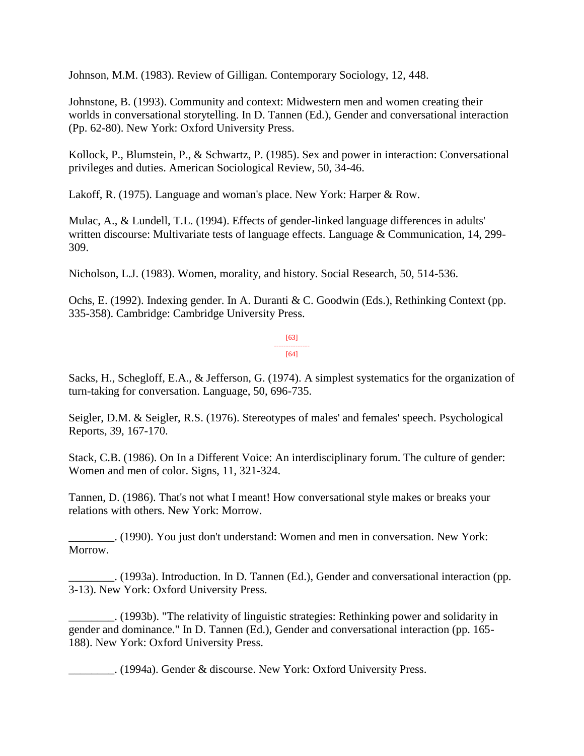Johnson, M.M. (1983). Review of Gilligan. Contemporary Sociology, 12, 448.

Johnstone, B. (1993). Community and context: Midwestern men and women creating their worlds in conversational storytelling. In D. Tannen (Ed.), Gender and conversational interaction (Pp. 62-80). New York: Oxford University Press.

Kollock, P., Blumstein, P., & Schwartz, P. (1985). Sex and power in interaction: Conversational privileges and duties. American Sociological Review, 50, 34-46.

Lakoff, R. (1975). Language and woman's place. New York: Harper & Row.

Mulac, A., & Lundell, T.L. (1994). Effects of gender-linked language differences in adults' written discourse: Multivariate tests of language effects. Language & Communication, 14, 299- 309.

Nicholson, L.J. (1983). Women, morality, and history. Social Research, 50, 514-536.

Ochs, E. (1992). Indexing gender. In A. Duranti & C. Goodwin (Eds.), Rethinking Context (pp. 335-358). Cambridge: Cambridge University Press.

> [63] --------------- [64]

Sacks, H., Schegloff, E.A., & Jefferson, G. (1974). A simplest systematics for the organization of turn-taking for conversation. Language, 50, 696-735.

Seigler, D.M. & Seigler, R.S. (1976). Stereotypes of males' and females' speech. Psychological Reports, 39, 167-170.

Stack, C.B. (1986). On In a Different Voice: An interdisciplinary forum. The culture of gender: Women and men of color. Signs, 11, 321-324.

Tannen, D. (1986). That's not what I meant! How conversational style makes or breaks your relations with others. New York: Morrow.

\_\_\_\_\_\_\_\_. (1990). You just don't understand: Women and men in conversation. New York: Morrow.

\_\_\_\_\_\_\_\_. (1993a). Introduction. In D. Tannen (Ed.), Gender and conversational interaction (pp. 3-13). New York: Oxford University Press.

\_\_\_\_\_\_\_\_. (1993b). "The relativity of linguistic strategies: Rethinking power and solidarity in gender and dominance." In D. Tannen (Ed.), Gender and conversational interaction (pp. 165- 188). New York: Oxford University Press.

\_\_\_\_\_\_\_\_. (1994a). Gender & discourse. New York: Oxford University Press.